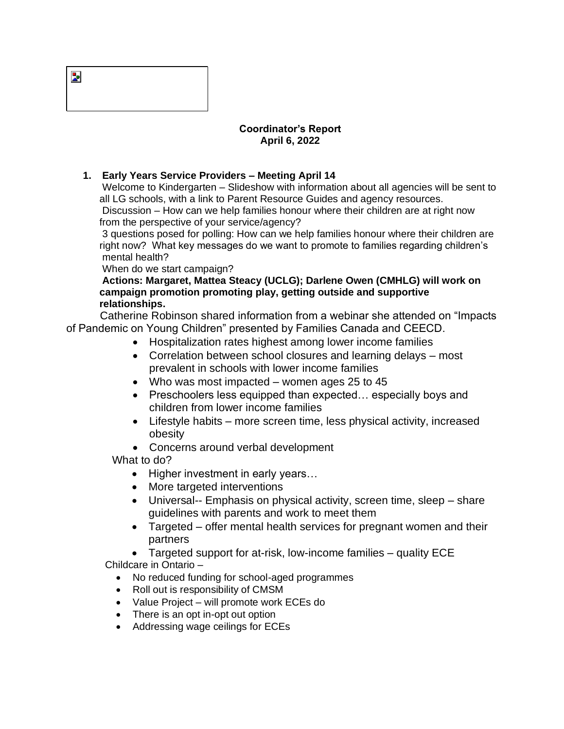| ≃ |  |  |
|---|--|--|
|   |  |  |

## **Coordinator's Report April 6, 2022**

## **1. Early Years Service Providers – Meeting April 14**

Welcome to Kindergarten – Slideshow with information about all agencies will be sent to all LG schools, with a link to Parent Resource Guides and agency resources.

Discussion – How can we help families honour where their children are at right now from the perspective of your service/agency?

3 questions posed for polling: How can we help families honour where their children are right now? What key messages do we want to promote to families regarding children's mental health?

When do we start campaign?

**Actions: Margaret, Mattea Steacy (UCLG); Darlene Owen (CMHLG) will work on campaign promotion promoting play, getting outside and supportive relationships.**

 Catherine Robinson shared information from a webinar she attended on "Impacts of Pandemic on Young Children" presented by Families Canada and CEECD.

- Hospitalization rates highest among lower income families
- Correlation between school closures and learning delays most prevalent in schools with lower income families
- Who was most impacted women ages 25 to 45
- Preschoolers less equipped than expected... especially boys and children from lower income families
- Lifestyle habits more screen time, less physical activity, increased obesity

• Concerns around verbal development

What to do?

- Higher investment in early years...
- More targeted interventions
- Universal-- Emphasis on physical activity, screen time, sleep share guidelines with parents and work to meet them
- Targeted offer mental health services for pregnant women and their partners

• Targeted support for at-risk, low-income families – quality ECE Childcare in Ontario –

- No reduced funding for school-aged programmes
- Roll out is responsibility of CMSM
- Value Project will promote work ECEs do
- There is an opt in-opt out option
- Addressing wage ceilings for ECEs